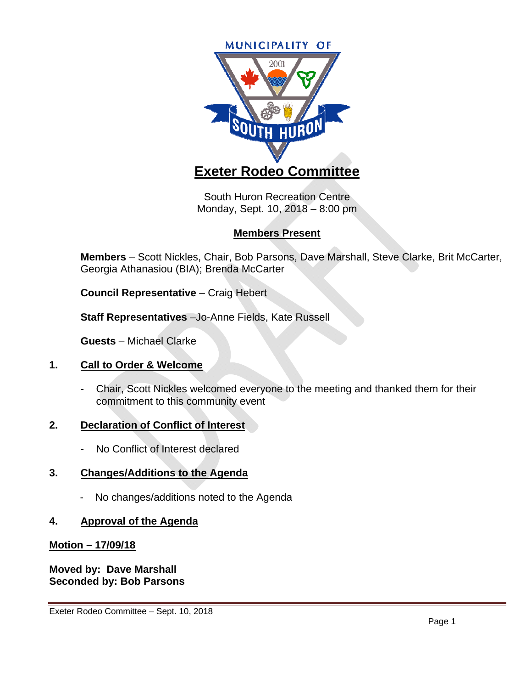

South Huron Recreation Centre Monday, Sept. 10, 2018 – 8:00 pm

# **Members Present**

**Members** – Scott Nickles, Chair, Bob Parsons, Dave Marshall, Steve Clarke, Brit McCarter, Georgia Athanasiou (BIA); Brenda McCarter

**Council Representative** – Craig Hebert

**Staff Representatives** –Jo-Anne Fields, Kate Russell

**Guests** – Michael Clarke

# **1. Call to Order & Welcome**

- Chair, Scott Nickles welcomed everyone to the meeting and thanked them for their commitment to this community event

# **2. Declaration of Conflict of Interest**

No Conflict of Interest declared

# **3. Changes/Additions to the Agenda**

- No changes/additions noted to the Agenda

# **4. Approval of the Agenda**

# **Motion – 17/09/18**

**Moved by: Dave Marshall Seconded by: Bob Parsons**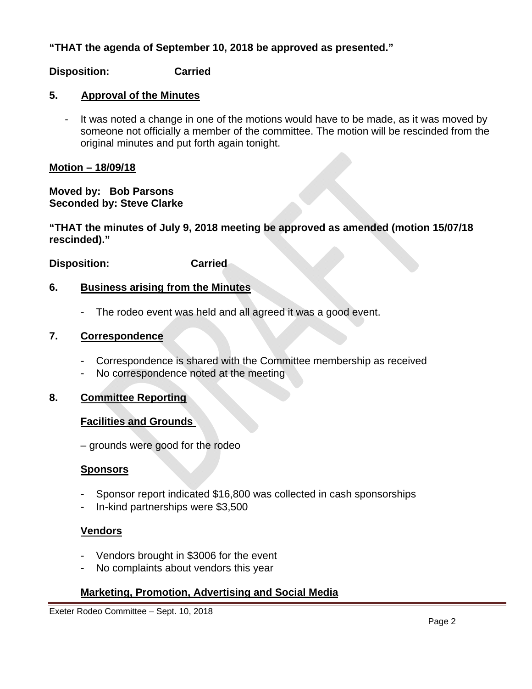**"THAT the agenda of September 10, 2018 be approved as presented."** 

## **Disposition: Carried**

### **5. Approval of the Minutes**

- It was noted a change in one of the motions would have to be made, as it was moved by someone not officially a member of the committee. The motion will be rescinded from the original minutes and put forth again tonight.

### **Motion – 18/09/18**

**Moved by: Bob Parsons Seconded by: Steve Clarke** 

**"THAT the minutes of July 9, 2018 meeting be approved as amended (motion 15/07/18 rescinded)."** 

**Disposition: Carried** 

## **6. Business arising from the Minutes**

- The rodeo event was held and all agreed it was a good event.

### **7. Correspondence**

- Correspondence is shared with the Committee membership as received
- No correspondence noted at the meeting

#### **8. Committee Reporting**

#### **Facilities and Grounds**

– grounds were good for the rodeo

#### **Sponsors**

- Sponsor report indicated \$16,800 was collected in cash sponsorships
- In-kind partnerships were \$3,500

#### **Vendors**

- Vendors brought in \$3006 for the event
- No complaints about vendors this year

# **Marketing, Promotion, Advertising and Social Media**

Exeter Rodeo Committee – Sept. 10, 2018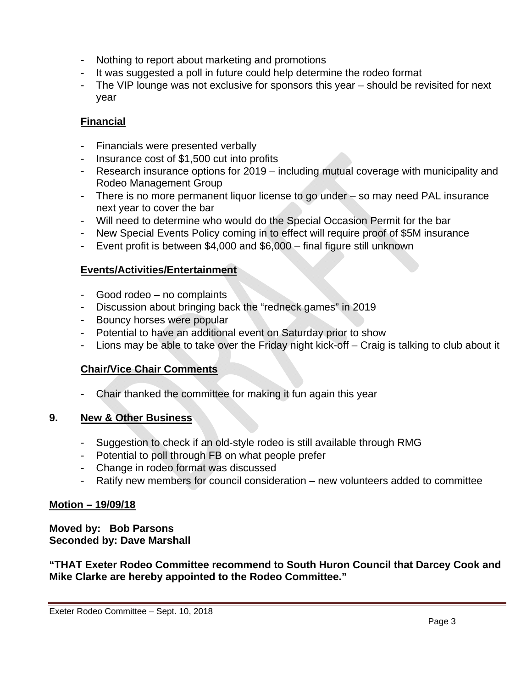- Nothing to report about marketing and promotions
- It was suggested a poll in future could help determine the rodeo format
- The VIP lounge was not exclusive for sponsors this year should be revisited for next year

# **Financial**

- Financials were presented verbally
- Insurance cost of \$1,500 cut into profits
- Research insurance options for 2019 including mutual coverage with municipality and Rodeo Management Group
- There is no more permanent liquor license to go under so may need PAL insurance next year to cover the bar
- Will need to determine who would do the Special Occasion Permit for the bar
- New Special Events Policy coming in to effect will require proof of \$5M insurance
- Event profit is between \$4,000 and \$6,000 final figure still unknown

# **Events/Activities/Entertainment**

- Good rodeo no complaints
- Discussion about bringing back the "redneck games" in 2019
- Bouncy horses were popular
- Potential to have an additional event on Saturday prior to show
- Lions may be able to take over the Friday night kick-off Craig is talking to club about it

# **Chair/Vice Chair Comments**

Chair thanked the committee for making it fun again this year

# **9. New & Other Business**

- Suggestion to check if an old-style rodeo is still available through RMG
- Potential to poll through FB on what people prefer
- Change in rodeo format was discussed
- Ratify new members for council consideration new volunteers added to committee

# **Motion – 19/09/18**

**Moved by: Bob Parsons Seconded by: Dave Marshall** 

**"THAT Exeter Rodeo Committee recommend to South Huron Council that Darcey Cook and Mike Clarke are hereby appointed to the Rodeo Committee."**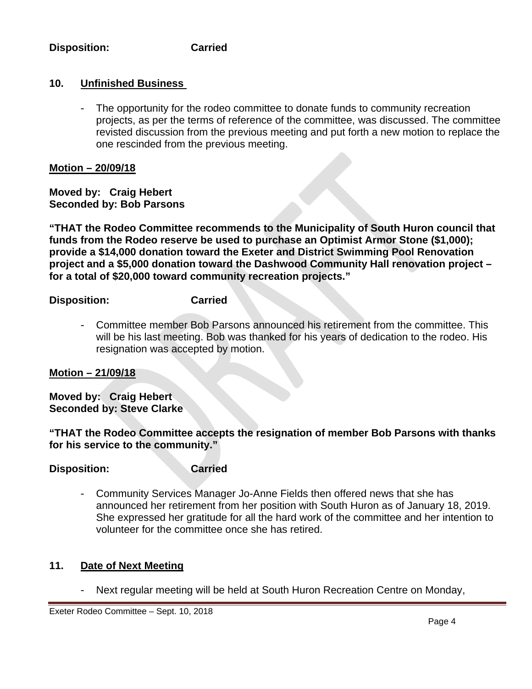## **Disposition: Carried**

# **10. Unfinished Business**

- The opportunity for the rodeo committee to donate funds to community recreation projects, as per the terms of reference of the committee, was discussed. The committee revisted discussion from the previous meeting and put forth a new motion to replace the one rescinded from the previous meeting.

## **Motion – 20/09/18**

**Moved by: Craig Hebert Seconded by: Bob Parsons** 

**"THAT the Rodeo Committee recommends to the Municipality of South Huron council that funds from the Rodeo reserve be used to purchase an Optimist Armor Stone (\$1,000); provide a \$14,000 donation toward the Exeter and District Swimming Pool Renovation project and a \$5,000 donation toward the Dashwood Community Hall renovation project – for a total of \$20,000 toward community recreation projects."** 

**Disposition: Carried** 

- Committee member Bob Parsons announced his retirement from the committee. This will be his last meeting. Bob was thanked for his years of dedication to the rodeo. His resignation was accepted by motion.

# **Motion – 21/09/18**

**Moved by: Craig Hebert Seconded by: Steve Clarke** 

## **"THAT the Rodeo Committee accepts the resignation of member Bob Parsons with thanks for his service to the community."**

## **Disposition: Carried**

- Community Services Manager Jo-Anne Fields then offered news that she has announced her retirement from her position with South Huron as of January 18, 2019. She expressed her gratitude for all the hard work of the committee and her intention to volunteer for the committee once she has retired.

# **11. Date of Next Meeting**

- Next regular meeting will be held at South Huron Recreation Centre on Monday,